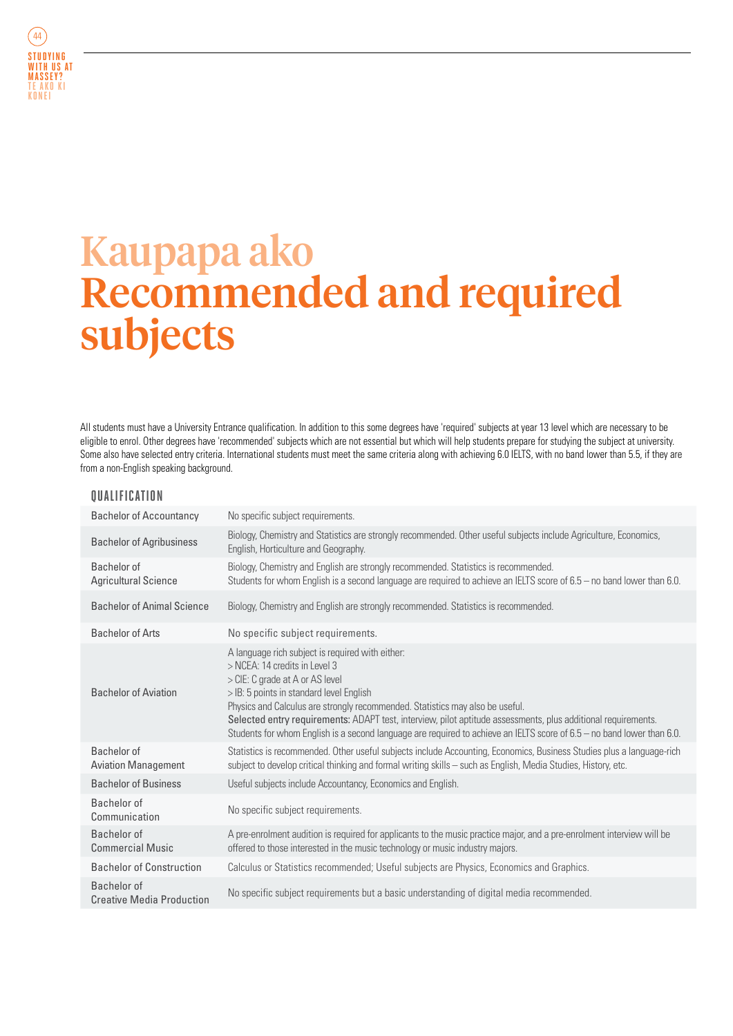

## Kaupapa ako Recommended and required subjects

All students must have a University Entrance qualification. In addition to this some degrees have 'required' subjects at year 13 level which are necessary to be eligible to enrol. Other degrees have 'recommended' subjects which are not essential but which will help students prepare for studying the subject at university. Some also have selected entry criteria. International students must meet the same criteria along with achieving 6.0 IELTS, with no band lower than 5.5, if they are from a non-English speaking background.

## **QUALIFICATION**

| <b>Bachelor of Accountancy</b>                  | No specific subject requirements.                                                                                                                                                                                                                                                                                                                                                                                                                                                            |
|-------------------------------------------------|----------------------------------------------------------------------------------------------------------------------------------------------------------------------------------------------------------------------------------------------------------------------------------------------------------------------------------------------------------------------------------------------------------------------------------------------------------------------------------------------|
| <b>Bachelor of Agribusiness</b>                 | Biology, Chemistry and Statistics are strongly recommended. Other useful subjects include Agriculture, Economics,<br>English, Horticulture and Geography.                                                                                                                                                                                                                                                                                                                                    |
| Bachelor of<br><b>Agricultural Science</b>      | Biology, Chemistry and English are strongly recommended. Statistics is recommended.<br>Students for whom English is a second language are required to achieve an IELTS score of 6.5 - no band lower than 6.0.                                                                                                                                                                                                                                                                                |
| <b>Bachelor of Animal Science</b>               | Biology, Chemistry and English are strongly recommended. Statistics is recommended.                                                                                                                                                                                                                                                                                                                                                                                                          |
| <b>Bachelor of Arts</b>                         | No specific subject requirements.                                                                                                                                                                                                                                                                                                                                                                                                                                                            |
| <b>Bachelor of Aviation</b>                     | A language rich subject is required with either:<br>> NCEA: 14 credits in Level 3<br>> CIE: C grade at A or AS level<br>> IB: 5 points in standard level English<br>Physics and Calculus are strongly recommended. Statistics may also be useful.<br>Selected entry requirements: ADAPT test, interview, pilot aptitude assessments, plus additional requirements.<br>Students for whom English is a second language are required to achieve an IELTS score of 6.5 - no band lower than 6.0. |
| Bachelor of<br><b>Aviation Management</b>       | Statistics is recommended. Other useful subjects include Accounting, Economics, Business Studies plus a language-rich<br>subject to develop critical thinking and formal writing skills - such as English, Media Studies, History, etc.                                                                                                                                                                                                                                                      |
| <b>Bachelor of Business</b>                     | Useful subjects include Accountancy, Economics and English.                                                                                                                                                                                                                                                                                                                                                                                                                                  |
| Bachelor of<br>Communication                    | No specific subject requirements.                                                                                                                                                                                                                                                                                                                                                                                                                                                            |
| Bachelor of<br><b>Commercial Music</b>          | A pre-enrolment audition is required for applicants to the music practice major, and a pre-enrolment interview will be<br>offered to those interested in the music technology or music industry majors.                                                                                                                                                                                                                                                                                      |
| <b>Bachelor of Construction</b>                 | Calculus or Statistics recommended; Useful subjects are Physics, Economics and Graphics.                                                                                                                                                                                                                                                                                                                                                                                                     |
| Bachelor of<br><b>Creative Media Production</b> | No specific subject requirements but a basic understanding of digital media recommended.                                                                                                                                                                                                                                                                                                                                                                                                     |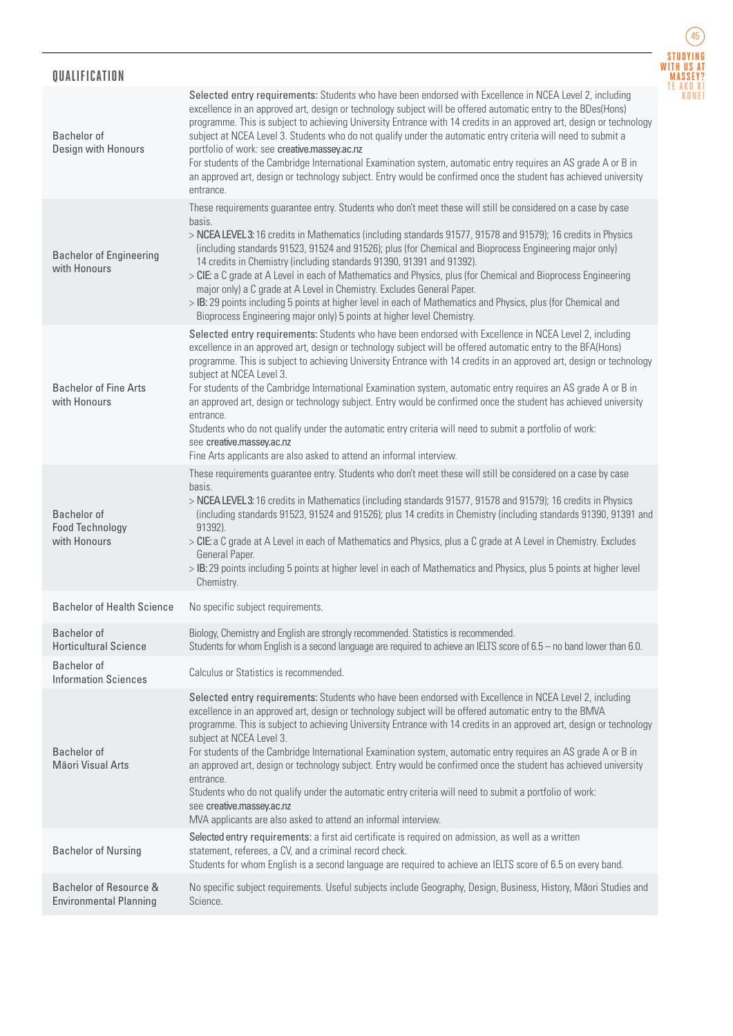## **QUALIFICATION**



| Bachelor of<br>Design with Honours                           | Selected entry requirements: Students who have been endorsed with Excellence in NCEA Level 2, including<br>excellence in an approved art, design or technology subject will be offered automatic entry to the BDes(Hons)<br>programme. This is subject to achieving University Entrance with 14 credits in an approved art, design or technology<br>subject at NCEA Level 3. Students who do not qualify under the automatic entry criteria will need to submit a<br>portfolio of work: see creative.massey.ac.nz<br>For students of the Cambridge International Examination system, automatic entry requires an AS grade A or B in<br>an approved art, design or technology subject. Entry would be confirmed once the student has achieved university<br>entrance.                                                                           |
|--------------------------------------------------------------|------------------------------------------------------------------------------------------------------------------------------------------------------------------------------------------------------------------------------------------------------------------------------------------------------------------------------------------------------------------------------------------------------------------------------------------------------------------------------------------------------------------------------------------------------------------------------------------------------------------------------------------------------------------------------------------------------------------------------------------------------------------------------------------------------------------------------------------------|
|                                                              | These requirements guarantee entry. Students who don't meet these will still be considered on a case by case                                                                                                                                                                                                                                                                                                                                                                                                                                                                                                                                                                                                                                                                                                                                   |
| <b>Bachelor of Engineering</b><br>with Honours               | basis.<br>> NCEA LEVEL 3: 16 credits in Mathematics (including standards 91577, 91578 and 91579); 16 credits in Physics<br>(including standards 91523, 91524 and 91526); plus (for Chemical and Bioprocess Engineering major only)<br>14 credits in Chemistry (including standards 91390, 91391 and 91392).<br>> CIE: a C grade at A Level in each of Mathematics and Physics, plus (for Chemical and Bioprocess Engineering<br>major only) a C grade at A Level in Chemistry. Excludes General Paper.<br>> IB: 29 points including 5 points at higher level in each of Mathematics and Physics, plus (for Chemical and<br>Bioprocess Engineering major only) 5 points at higher level Chemistry.                                                                                                                                              |
| <b>Bachelor of Fine Arts</b><br>with Honours                 | Selected entry requirements: Students who have been endorsed with Excellence in NCEA Level 2, including<br>excellence in an approved art, design or technology subject will be offered automatic entry to the BFA(Hons)<br>programme. This is subject to achieving University Entrance with 14 credits in an approved art, design or technology<br>subject at NCEA Level 3.<br>For students of the Cambridge International Examination system, automatic entry requires an AS grade A or B in<br>an approved art, design or technology subject. Entry would be confirmed once the student has achieved university<br>entrance.<br>Students who do not qualify under the automatic entry criteria will need to submit a portfolio of work:<br>see creative.massey.ac.nz<br>Fine Arts applicants are also asked to attend an informal interview. |
| <b>Bachelor</b> of<br><b>Food Technology</b><br>with Honours | These requirements guarantee entry. Students who don't meet these will still be considered on a case by case<br>basis.<br>> NCEA LEVEL 3: 16 credits in Mathematics (including standards 91577, 91578 and 91579); 16 credits in Physics<br>(including standards 91523, 91524 and 91526); plus 14 credits in Chemistry (including standards 91390, 91391 and<br>91392).<br>> CIE: a C grade at A Level in each of Mathematics and Physics, plus a C grade at A Level in Chemistry. Excludes<br>General Paper.<br>> IB: 29 points including 5 points at higher level in each of Mathematics and Physics, plus 5 points at higher level<br>Chemistry.                                                                                                                                                                                             |
| <b>Bachelor of Health Science</b>                            | No specific subject requirements.                                                                                                                                                                                                                                                                                                                                                                                                                                                                                                                                                                                                                                                                                                                                                                                                              |
| Bachelor of<br><b>Horticultural Science</b>                  | Biology, Chemistry and English are strongly recommended. Statistics is recommended.<br>Students for whom English is a second language are required to achieve an IELTS score of 6.5 - no band lower than 6.0.                                                                                                                                                                                                                                                                                                                                                                                                                                                                                                                                                                                                                                  |
| <b>Bachelor</b> of<br><b>Information Sciences</b>            | Calculus or Statistics is recommended.                                                                                                                                                                                                                                                                                                                                                                                                                                                                                                                                                                                                                                                                                                                                                                                                         |
| Bachelor of<br>Māori Visual Arts                             | Selected entry requirements: Students who have been endorsed with Excellence in NCEA Level 2, including<br>excellence in an approved art, design or technology subject will be offered automatic entry to the BMVA<br>programme. This is subject to achieving University Entrance with 14 credits in an approved art, design or technology<br>subject at NCEA Level 3.<br>For students of the Cambridge International Examination system, automatic entry requires an AS grade A or B in<br>an approved art, design or technology subject. Entry would be confirmed once the student has achieved university<br>entrance.<br>Students who do not qualify under the automatic entry criteria will need to submit a portfolio of work:<br>see creative.massey.ac.nz<br>MVA applicants are also asked to attend an informal interview.            |
| <b>Bachelor of Nursing</b>                                   | Selected entry requirements: a first aid certificate is required on admission, as well as a written<br>statement, referees, a CV, and a criminal record check.<br>Students for whom English is a second language are required to achieve an IELTS score of 6.5 on every band.                                                                                                                                                                                                                                                                                                                                                                                                                                                                                                                                                                  |
| Bachelor of Resource &<br><b>Environmental Planning</b>      | No specific subject requirements. Useful subjects include Geography, Design, Business, History, Māori Studies and<br>Science.                                                                                                                                                                                                                                                                                                                                                                                                                                                                                                                                                                                                                                                                                                                  |